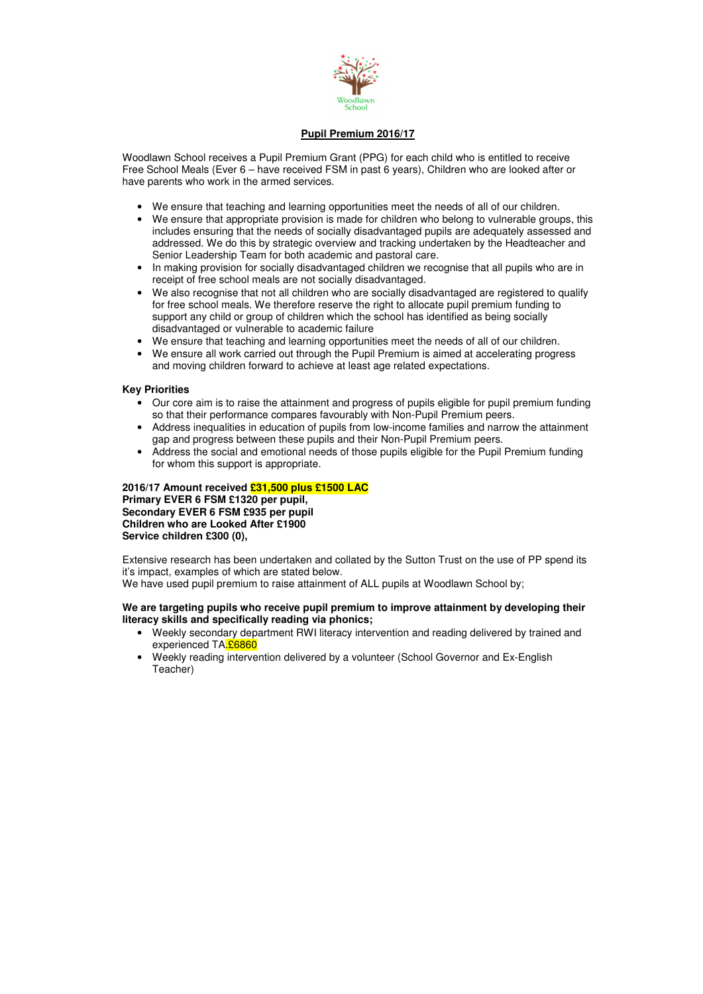

# **Pupil Premium 2016/17**

Woodlawn School receives a Pupil Premium Grant (PPG) for each child who is entitled to receive Free School Meals (Ever 6 – have received FSM in past 6 years), Children who are looked after or have parents who work in the armed services.

- We ensure that teaching and learning opportunities meet the needs of all of our children.
- We ensure that appropriate provision is made for children who belong to vulnerable groups, this includes ensuring that the needs of socially disadvantaged pupils are adequately assessed and addressed. We do this by strategic overview and tracking undertaken by the Headteacher and Senior Leadership Team for both academic and pastoral care.
- In making provision for socially disadvantaged children we recognise that all pupils who are in receipt of free school meals are not socially disadvantaged.
- We also recognise that not all children who are socially disadvantaged are registered to qualify for free school meals. We therefore reserve the right to allocate pupil premium funding to support any child or group of children which the school has identified as being socially disadvantaged or vulnerable to academic failure
- We ensure that teaching and learning opportunities meet the needs of all of our children.
- We ensure all work carried out through the Pupil Premium is aimed at accelerating progress and moving children forward to achieve at least age related expectations.

Extensive research has been undertaken and collated by the Sutton Trust on the use of PP spend its it's impact, examples of which are stated below. We have used pupil premium to raise attainment of ALL pupils at Woodlawn School by;

# **Key Priorities**

- Our core aim is to raise the attainment and progress of pupils eligible for pupil premium funding so that their performance compares favourably with Non-Pupil Premium peers.
- Address inequalities in education of pupils from low-income families and narrow the attainment gap and progress between these pupils and their Non-Pupil Premium peers.
- Address the social and emotional needs of those pupils eligible for the Pupil Premium funding for whom this support is appropriate.

**2016/17 Amount received £31,500 plus £1500 LAC Primary EVER 6 FSM £1320 per pupil, Secondary EVER 6 FSM £935 per pupil Children who are Looked After £1900 Service children £300 (0),** 

**We are targeting pupils who receive pupil premium to improve attainment by developing their literacy skills and specifically reading via phonics;** 

- Weekly secondary department RWI literacy intervention and reading delivered by trained and experienced TA.26860
- Weekly reading intervention delivered by a volunteer (School Governor and Ex-English Teacher)